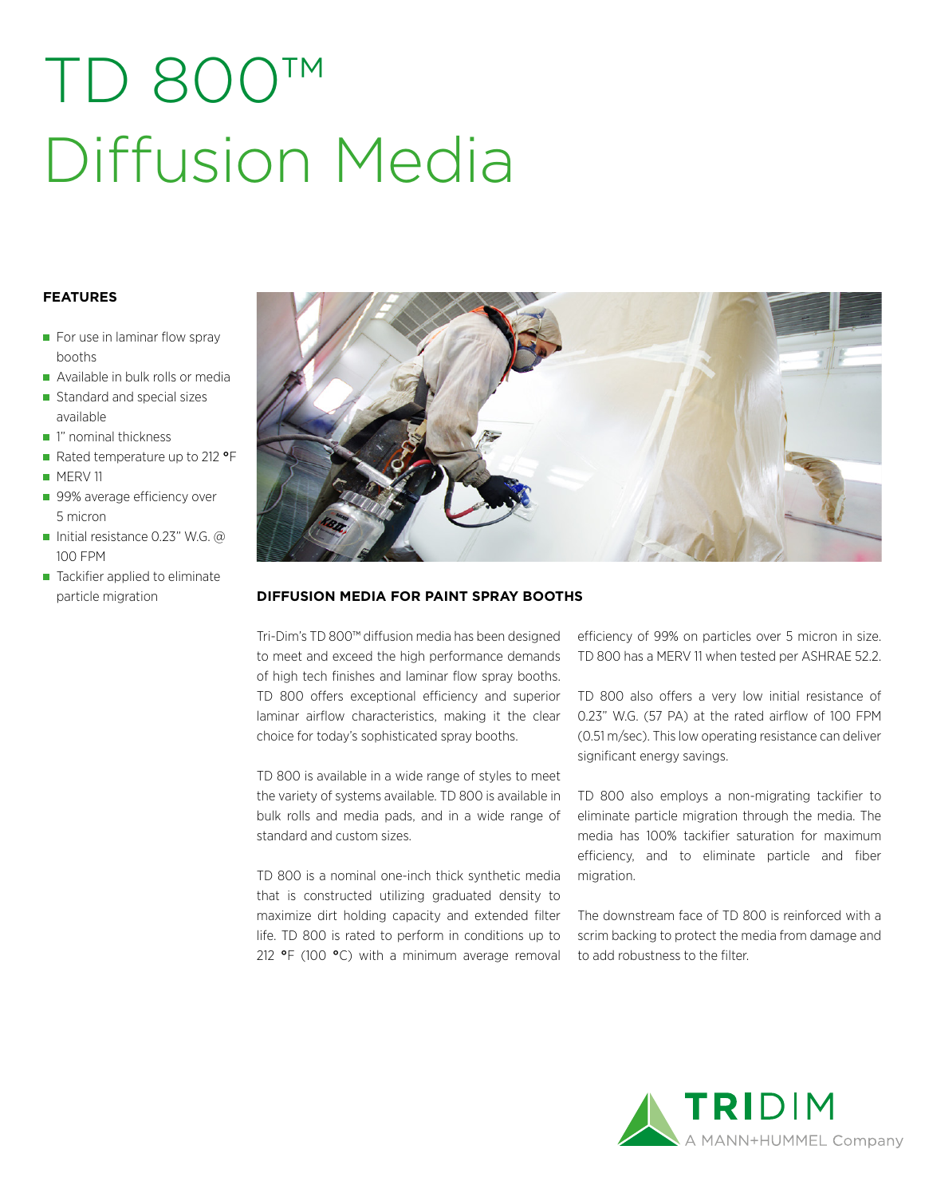# TD 800™ Diffusion Media

### **FEATURES**

- $\blacksquare$  For use in laminar flow spray booths
- Available in bulk rolls or media
- Standard and special sizes available
- 1" nominal thickness
- Rated temperature up to 212 **°**F
- **MERV11**
- 99% average efficiency over 5 micron
- Initial resistance 0.23" W.G.  $@$ 100 FPM
- Tackifier applied to eliminate



#### particle migration **DIFFUSION MEDIA FOR PAINT SPRAY BOOTHS**

Tri-Dim's TD 800™ diffusion media has been designed to meet and exceed the high performance demands of high tech finishes and laminar flow spray booths. TD 800 offers exceptional efficiency and superior laminar airflow characteristics, making it the clear choice for today's sophisticated spray booths.

TD 800 is available in a wide range of styles to meet the variety of systems available. TD 800 is available in bulk rolls and media pads, and in a wide range of standard and custom sizes.

TD 800 is a nominal one-inch thick synthetic media that is constructed utilizing graduated density to maximize dirt holding capacity and extended filter life. TD 800 is rated to perform in conditions up to 212 **°**F (100 **°**C) with a minimum average removal

efficiency of 99% on particles over 5 micron in size. TD 800 has a MERV 11 when tested per ASHRAE 52.2.

TD 800 also offers a very low initial resistance of 0.23" W.G. (57 PA) at the rated airflow of 100 FPM (0.51 m/sec). This low operating resistance can deliver significant energy savings.

TD 800 also employs a non-migrating tackifier to eliminate particle migration through the media. The media has 100% tackifier saturation for maximum efficiency, and to eliminate particle and fiber migration.

The downstream face of TD 800 is reinforced with a scrim backing to protect the media from damage and to add robustness to the filter.